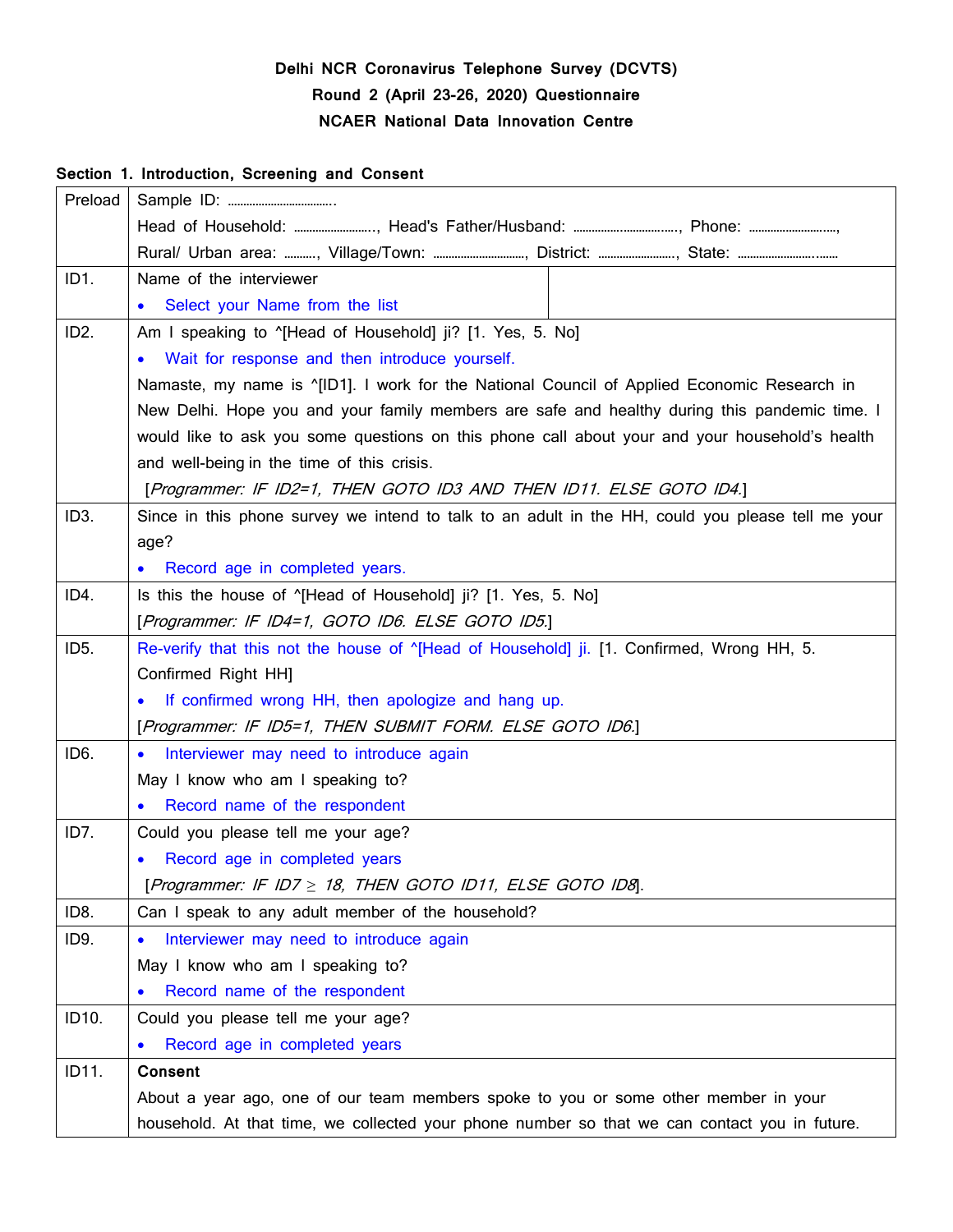# **Delhi NCR Coronavirus Telephone Survey (DCVTS) Round 2 (April 23-26, 2020) Questionnaire NCAER National Data Innovation Centre**

### **Section 1. Introduction, Screening and Consent**

| Preload           |                                                                                                       |  |  |  |
|-------------------|-------------------------------------------------------------------------------------------------------|--|--|--|
|                   |                                                                                                       |  |  |  |
|                   |                                                                                                       |  |  |  |
| ID <sub>1</sub>   | Name of the interviewer                                                                               |  |  |  |
|                   | Select your Name from the list<br>$\bullet$                                                           |  |  |  |
| ID <sub>2</sub> . | Am I speaking to "[Head of Household] ji? [1. Yes, 5. No]                                             |  |  |  |
|                   | Wait for response and then introduce yourself.<br>$\bullet$                                           |  |  |  |
|                   | Namaste, my name is $^{\circ}$ [ID1]. I work for the National Council of Applied Economic Research in |  |  |  |
|                   | New Delhi. Hope you and your family members are safe and healthy during this pandemic time. I         |  |  |  |
|                   | would like to ask you some questions on this phone call about your and your household's health        |  |  |  |
|                   | and well-being in the time of this crisis.                                                            |  |  |  |
|                   | [Programmer: IF ID2=1, THEN GOTO ID3 AND THEN ID11. ELSE GOTO ID4.]                                   |  |  |  |
| ID <sub>3</sub> . | Since in this phone survey we intend to talk to an adult in the HH, could you please tell me your     |  |  |  |
|                   | age?                                                                                                  |  |  |  |
|                   | Record age in completed years.<br>$\bullet$                                                           |  |  |  |
| ID4.              | Is this the house of "[Head of Household] ji? [1. Yes, 5. No]                                         |  |  |  |
|                   | [Programmer: IF ID4=1, GOTO ID6. ELSE GOTO ID5.]                                                      |  |  |  |
| ID <sub>5</sub> . | Re-verify that this not the house of "[Head of Household] ji. [1. Confirmed, Wrong HH, 5.             |  |  |  |
|                   | Confirmed Right HH]                                                                                   |  |  |  |
|                   | If confirmed wrong HH, then apologize and hang up.<br>$\bullet$                                       |  |  |  |
|                   | [Programmer: IF ID5=1, THEN SUBMIT FORM. ELSE GOTO ID6.]                                              |  |  |  |
| ID <sub>6</sub>   | Interviewer may need to introduce again<br>$\bullet$                                                  |  |  |  |
|                   | May I know who am I speaking to?                                                                      |  |  |  |
|                   | Record name of the respondent                                                                         |  |  |  |
| ID7.              | Could you please tell me your age?                                                                    |  |  |  |
|                   | Record age in completed years                                                                         |  |  |  |
|                   | [Programmer: IF ID7 $\geq$ 18, THEN GOTO ID11, ELSE GOTO ID8].                                        |  |  |  |
| ID8.              | Can I speak to any adult member of the household?                                                     |  |  |  |
| ID9.              | Interviewer may need to introduce again<br>$\bullet$                                                  |  |  |  |
|                   | May I know who am I speaking to?                                                                      |  |  |  |
|                   | Record name of the respondent                                                                         |  |  |  |
| ID10.             | Could you please tell me your age?                                                                    |  |  |  |
|                   | Record age in completed years<br>$\bullet$                                                            |  |  |  |
| ID11.             | <b>Consent</b>                                                                                        |  |  |  |
|                   | About a year ago, one of our team members spoke to you or some other member in your                   |  |  |  |
|                   | household. At that time, we collected your phone number so that we can contact you in future.         |  |  |  |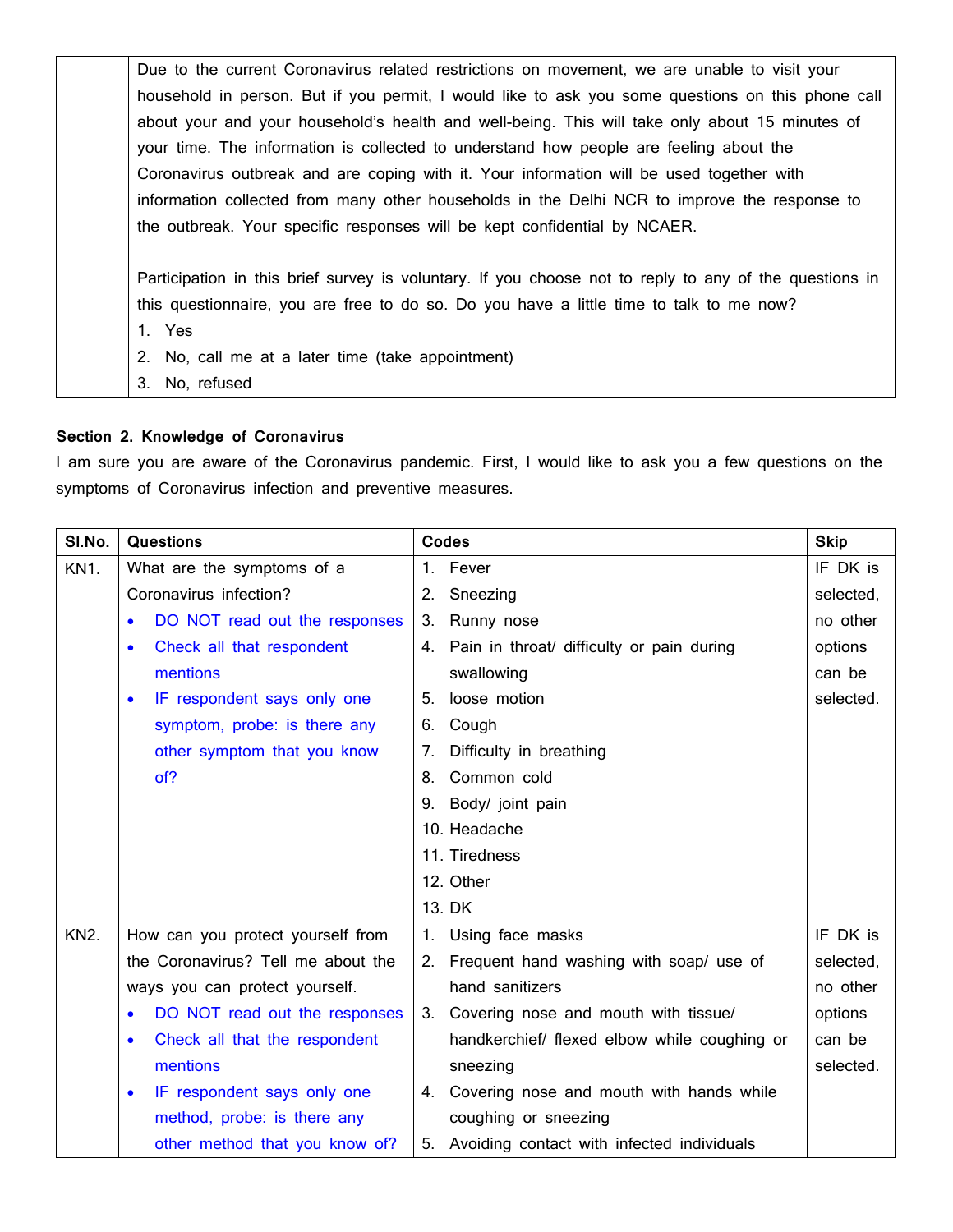| Due to the current Coronavirus related restrictions on movement, we are unable to visit your           |
|--------------------------------------------------------------------------------------------------------|
| household in person. But if you permit, I would like to ask you some questions on this phone call      |
| about your and your household's health and well-being. This will take only about 15 minutes of         |
| your time. The information is collected to understand how people are feeling about the                 |
| Coronavirus outbreak and are coping with it. Your information will be used together with               |
| information collected from many other households in the Delhi NCR to improve the response to           |
| the outbreak. Your specific responses will be kept confidential by NCAER.                              |
| Participation in this brief survey is voluntary. If you choose not to reply to any of the questions in |
| this questionnaire, you are free to do so. Do you have a little time to talk to me now?                |
| 1. Yes                                                                                                 |
| 2. No, call me at a later time (take appointment)                                                      |
| No, refused<br>3.                                                                                      |
|                                                                                                        |

#### **Section 2. Knowledge of Coronavirus**

I am sure you are aware of the Coronavirus pandemic. First, I would like to ask you a few questions on the symptoms of Coronavirus infection and preventive measures.

| SI.No.            | <b>Questions</b>                           | <b>Codes</b>                                  | <b>Skip</b> |
|-------------------|--------------------------------------------|-----------------------------------------------|-------------|
| KN <sub>1</sub> . | What are the symptoms of a                 | 1. Fever                                      | IF DK is    |
|                   | Coronavirus infection?                     | Sneezing<br>2.                                | selected,   |
|                   | DO NOT read out the responses              | 3. Runny nose                                 | no other    |
|                   | Check all that respondent<br>$\bullet$     | 4. Pain in throat/ difficulty or pain during  | options     |
|                   | mentions                                   | swallowing                                    | can be      |
|                   | IF respondent says only one                | loose motion<br>5.                            | selected.   |
|                   | symptom, probe: is there any               | Cough<br>6.                                   |             |
|                   | other symptom that you know                | Difficulty in breathing<br>7.                 |             |
|                   | of?                                        | Common cold<br>8.                             |             |
|                   |                                            | Body/ joint pain<br>9.                        |             |
|                   |                                            | 10. Headache                                  |             |
|                   |                                            | 11. Tiredness                                 |             |
|                   |                                            | 12. Other                                     |             |
|                   |                                            | 13. DK                                        |             |
| <b>KN2.</b>       | How can you protect yourself from          | 1. Using face masks                           | IF DK is    |
|                   | the Coronavirus? Tell me about the         | 2. Frequent hand washing with soap/ use of    | selected,   |
|                   | ways you can protect yourself.             | hand sanitizers                               | no other    |
|                   | DO NOT read out the responses              | 3. Covering nose and mouth with tissue/       | options     |
|                   | Check all that the respondent<br>$\bullet$ | handkerchief/ flexed elbow while coughing or  | can be      |
|                   | mentions                                   | sneezing                                      | selected.   |
|                   | IF respondent says only one<br>$\bullet$   | 4. Covering nose and mouth with hands while   |             |
|                   | method, probe: is there any                | coughing or sneezing                          |             |
|                   | other method that you know of?             | 5. Avoiding contact with infected individuals |             |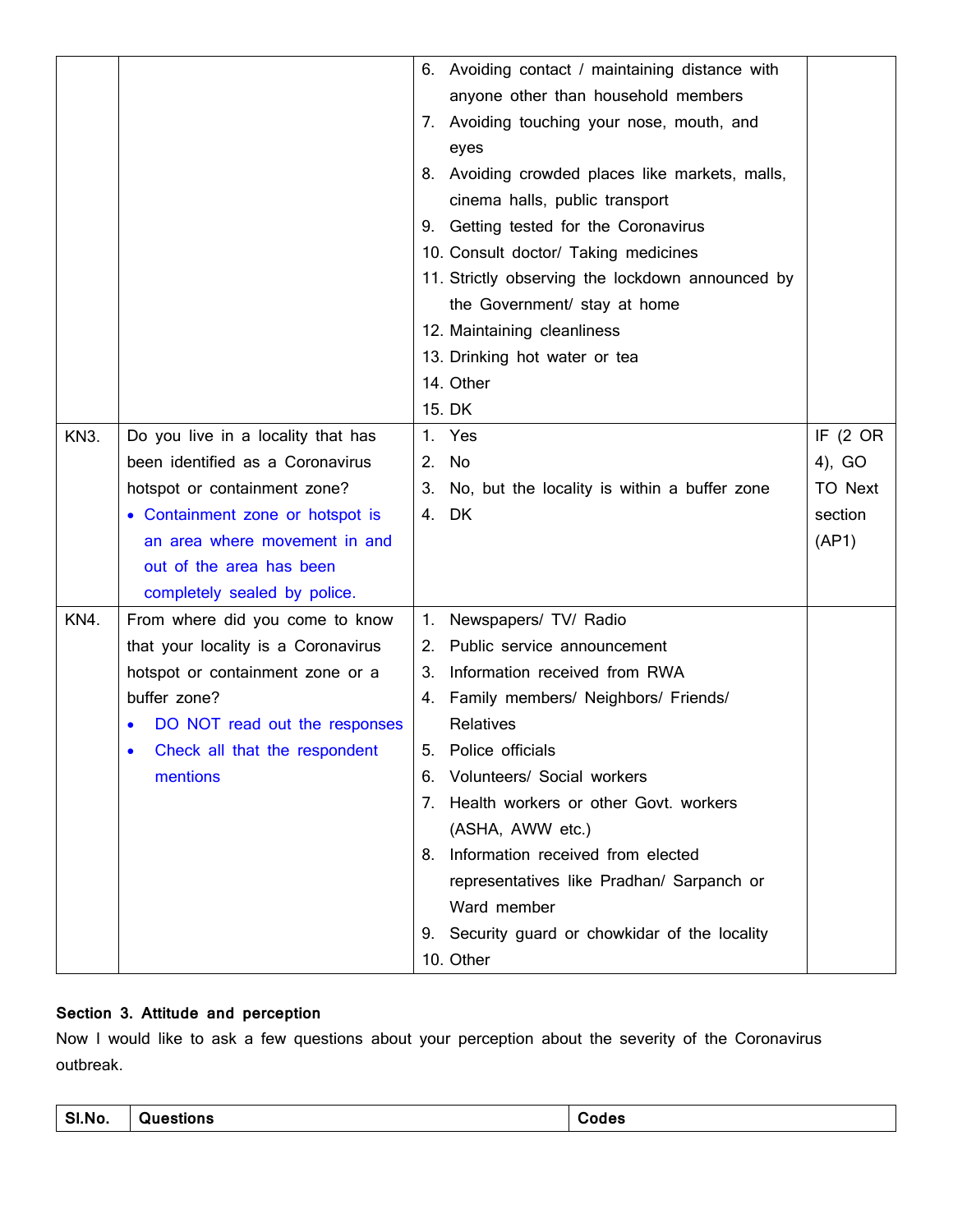|      |                                     |    | 6. Avoiding contact / maintaining distance with  |          |
|------|-------------------------------------|----|--------------------------------------------------|----------|
|      |                                     |    | anyone other than household members              |          |
|      |                                     |    | 7. Avoiding touching your nose, mouth, and       |          |
|      |                                     |    | eyes                                             |          |
|      |                                     |    | 8. Avoiding crowded places like markets, malls,  |          |
|      |                                     |    | cinema halls, public transport                   |          |
|      |                                     |    | 9. Getting tested for the Coronavirus            |          |
|      |                                     |    | 10. Consult doctor/ Taking medicines             |          |
|      |                                     |    | 11. Strictly observing the lockdown announced by |          |
|      |                                     |    | the Government/ stay at home                     |          |
|      |                                     |    | 12. Maintaining cleanliness                      |          |
|      |                                     |    | 13. Drinking hot water or tea                    |          |
|      |                                     |    | 14. Other                                        |          |
|      |                                     |    | 15. DK                                           |          |
| KN3. | Do you live in a locality that has  |    | 1. Yes                                           | IF (2 OR |
|      | been identified as a Coronavirus    |    | 2. No                                            | 4), GO   |
|      | hotspot or containment zone?        |    | 3. No, but the locality is within a buffer zone  | TO Next  |
|      | • Containment zone or hotspot is    |    | 4. DK                                            | section  |
|      | an area where movement in and       |    |                                                  | (AP1)    |
|      | out of the area has been            |    |                                                  |          |
|      | completely sealed by police.        |    |                                                  |          |
| KN4. | From where did you come to know     |    | 1. Newspapers/ TV/ Radio                         |          |
|      | that your locality is a Coronavirus |    | 2. Public service announcement                   |          |
|      | hotspot or containment zone or a    | 3. | Information received from RWA                    |          |
|      | buffer zone?                        |    | 4. Family members/ Neighbors/ Friends/           |          |
|      | DO NOT read out the responses       |    | Relatives                                        |          |
|      | Check all that the respondent       | 5. | Police officials                                 |          |
|      | mentions                            |    | 6. Volunteers/ Social workers                    |          |
|      |                                     |    | 7. Health workers or other Govt. workers         |          |
|      |                                     |    | (ASHA, AWW etc.)                                 |          |
|      |                                     |    | 8. Information received from elected             |          |
|      |                                     |    | representatives like Pradhan/ Sarpanch or        |          |
|      |                                     |    | Ward member                                      |          |
|      |                                     |    | 9. Security guard or chowkidar of the locality   |          |
|      |                                     |    | 10. Other                                        |          |

## **Section 3. Attitude and perception**

Now I would like to ask a few questions about your perception about the severity of the Coronavirus outbreak.

| <u>.</u><br>N0<br><u></u> | . | . |
|---------------------------|---|---|
|---------------------------|---|---|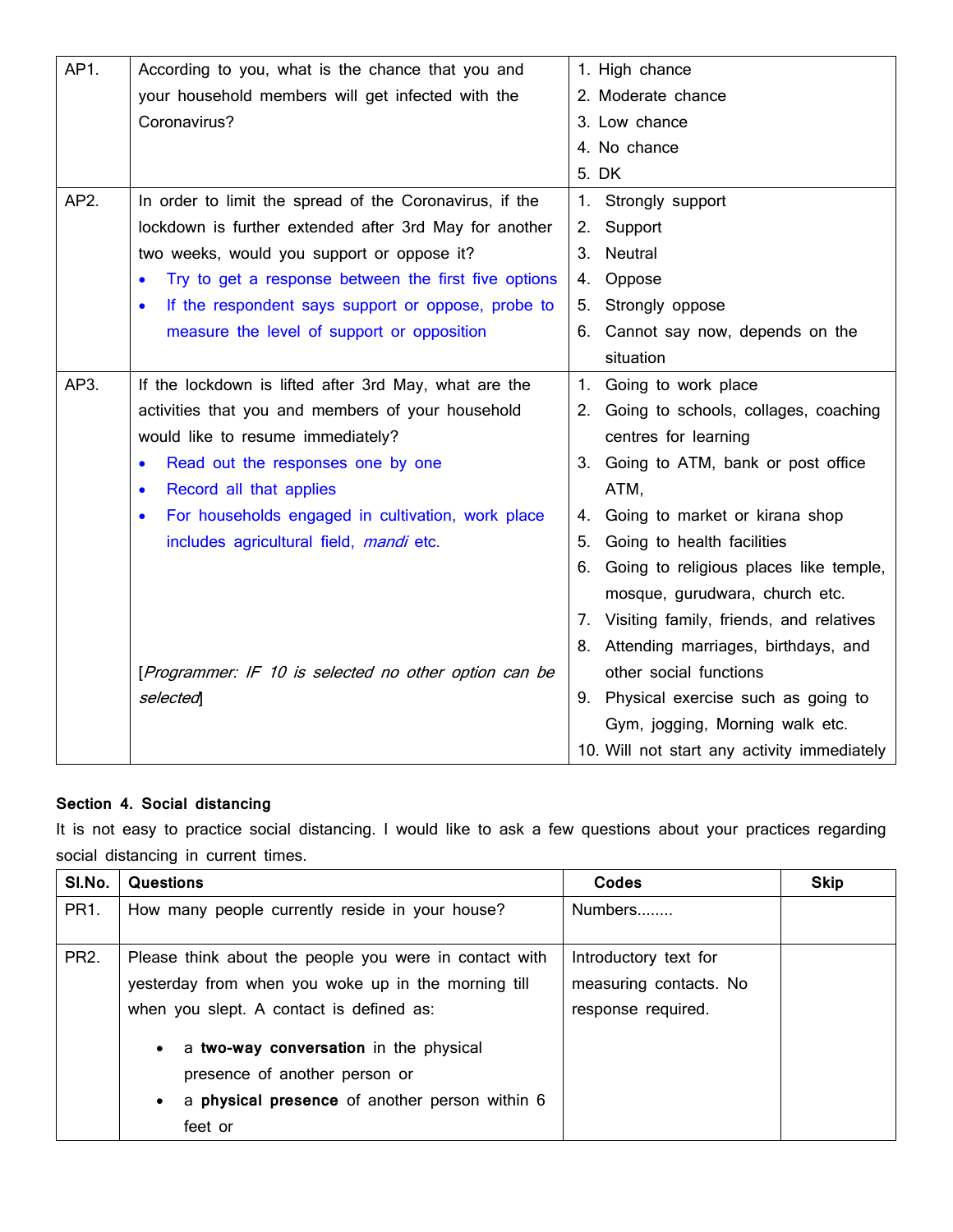| AP1. | According to you, what is the chance that you and               | 1. High chance                                |
|------|-----------------------------------------------------------------|-----------------------------------------------|
|      | your household members will get infected with the               | 2. Moderate chance                            |
|      | Coronavirus?                                                    | 3. Low chance                                 |
|      |                                                                 | 4. No chance                                  |
|      |                                                                 | 5. DK                                         |
| AP2. | In order to limit the spread of the Coronavirus, if the         | Strongly support<br>1.                        |
|      | lockdown is further extended after 3rd May for another          | Support<br>2.                                 |
|      | two weeks, would you support or oppose it?                      | Neutral<br>3.                                 |
|      | Try to get a response between the first five options            | Oppose<br>4.                                  |
|      | If the respondent says support or oppose, probe to<br>$\bullet$ | Strongly oppose<br>ს.                         |
|      | measure the level of support or opposition                      | Cannot say now, depends on the<br>6.          |
|      |                                                                 | situation                                     |
| AP3. | If the lockdown is lifted after 3rd May, what are the           | Going to work place<br>1.                     |
|      | activities that you and members of your household               | 2. Going to schools, collages, coaching       |
|      | would like to resume immediately?                               | centres for learning                          |
|      | Read out the responses one by one<br>$\bullet$                  | 3. Going to ATM, bank or post office          |
|      | Record all that applies<br>$\bullet$                            | ATM,                                          |
|      | For households engaged in cultivation, work place               | Going to market or kirana shop<br>4.          |
|      | includes agricultural field, mandi etc.                         | Going to health facilities<br>5.              |
|      |                                                                 | Going to religious places like temple,<br>6.  |
|      |                                                                 | mosque, gurudwara, church etc.                |
|      |                                                                 | Visiting family, friends, and relatives<br>7. |
|      |                                                                 | Attending marriages, birthdays, and<br>8.     |
|      | [Programmer: IF 10 is selected no other option can be           | other social functions                        |
|      | selected                                                        | 9. Physical exercise such as going to         |
|      |                                                                 | Gym, jogging, Morning walk etc.               |
|      |                                                                 | 10. Will not start any activity immediately   |

### **Section 4. Social distancing**

It is not easy to practice social distancing. I would like to ask a few questions about your practices regarding social distancing in current times.

| SI.No.          | Questions                                                                                                                                                                                                                                                                                                        | Codes                                                                 | <b>Skip</b> |
|-----------------|------------------------------------------------------------------------------------------------------------------------------------------------------------------------------------------------------------------------------------------------------------------------------------------------------------------|-----------------------------------------------------------------------|-------------|
| PR <sub>1</sub> | How many people currently reside in your house?                                                                                                                                                                                                                                                                  | Numbers                                                               |             |
| <b>PR2.</b>     | Please think about the people you were in contact with<br>yesterday from when you woke up in the morning till<br>when you slept. A contact is defined as:<br>a two-way conversation in the physical<br>$\bullet$<br>presence of another person or<br>a physical presence of another person within 6<br>$\bullet$ | Introductory text for<br>measuring contacts. No<br>response required. |             |
|                 | feet or                                                                                                                                                                                                                                                                                                          |                                                                       |             |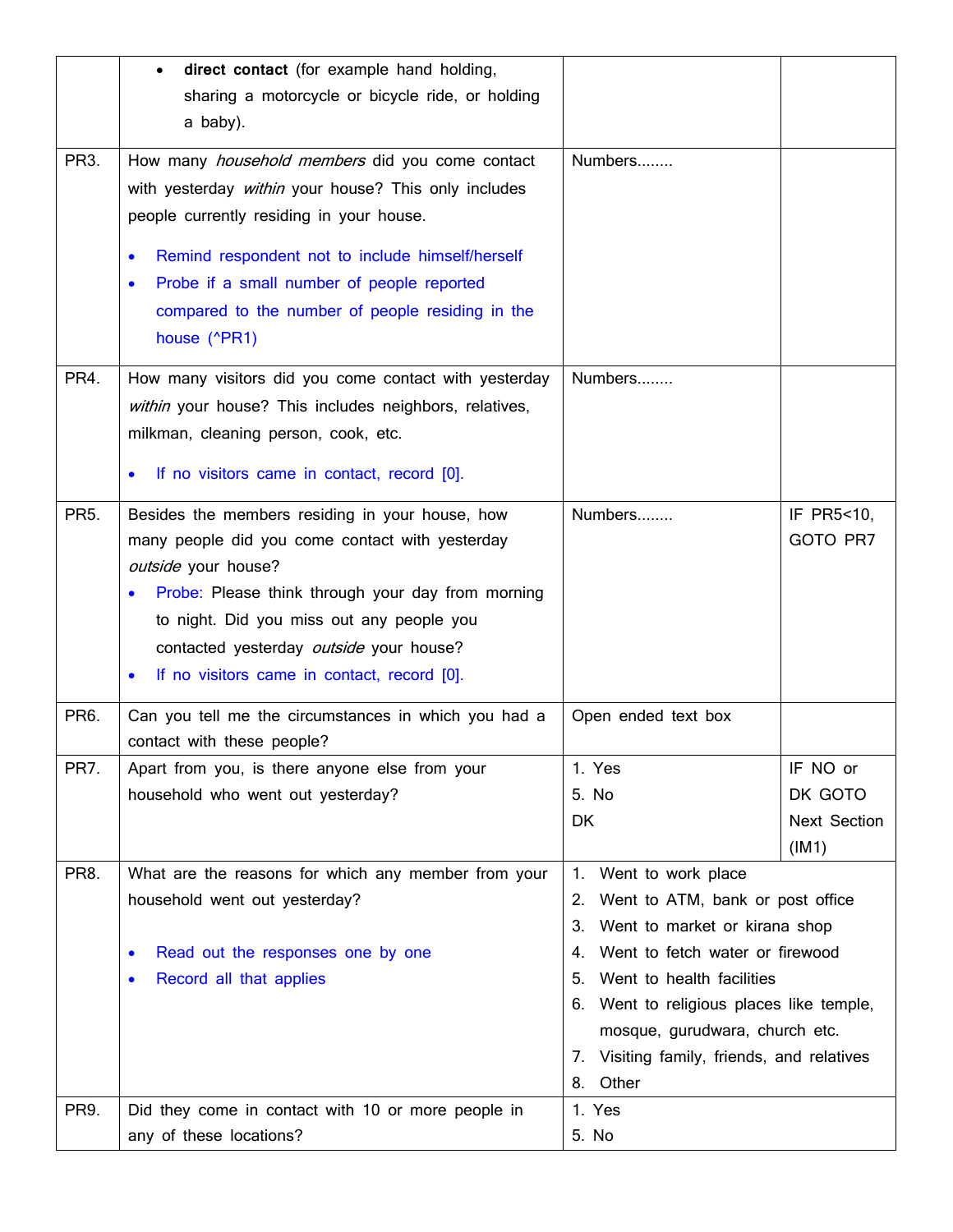|                   | direct contact (for example hand holding,<br>$\bullet$  |                                             |                     |
|-------------------|---------------------------------------------------------|---------------------------------------------|---------------------|
|                   | sharing a motorcycle or bicycle ride, or holding        |                                             |                     |
|                   | a baby).                                                |                                             |                     |
| PR <sub>3</sub> . | How many <i>household members</i> did you come contact  | Numbers                                     |                     |
|                   | with yesterday within your house? This only includes    |                                             |                     |
|                   | people currently residing in your house.                |                                             |                     |
|                   |                                                         |                                             |                     |
|                   | Remind respondent not to include himself/herself<br>٠   |                                             |                     |
|                   | Probe if a small number of people reported<br>$\bullet$ |                                             |                     |
|                   | compared to the number of people residing in the        |                                             |                     |
|                   | house (^PR1)                                            |                                             |                     |
| PR4.              | How many visitors did you come contact with yesterday   | Numbers                                     |                     |
|                   | within your house? This includes neighbors, relatives,  |                                             |                     |
|                   | milkman, cleaning person, cook, etc.                    |                                             |                     |
|                   | If no visitors came in contact, record [0].             |                                             |                     |
|                   |                                                         |                                             |                     |
| <b>PR5.</b>       | Besides the members residing in your house, how         | Numbers                                     | IF PR5<10,          |
|                   | many people did you come contact with yesterday         |                                             | GOTO PR7            |
|                   | outside your house?                                     |                                             |                     |
|                   | Probe: Please think through your day from morning       |                                             |                     |
|                   | to night. Did you miss out any people you               |                                             |                     |
|                   | contacted yesterday outside your house?                 |                                             |                     |
|                   | If no visitors came in contact, record [0].<br>٠        |                                             |                     |
| PR6.              | Can you tell me the circumstances in which you had a    | Open ended text box                         |                     |
|                   | contact with these people?                              |                                             |                     |
| PR7.              | Apart from you, is there anyone else from your          | 1. Yes                                      | IF NO or            |
|                   | household who went out yesterday?                       | 5. No                                       | DK GOTO             |
|                   |                                                         | DK                                          | <b>Next Section</b> |
|                   |                                                         |                                             | (IM1)               |
| PR8.              | What are the reasons for which any member from your     | 1.<br>Went to work place                    |                     |
|                   | household went out yesterday?                           | Went to ATM, bank or post office<br>2.      |                     |
|                   |                                                         | 3.<br>Went to market or kirana shop         |                     |
|                   | Read out the responses one by one                       | Went to fetch water or firewood<br>4.       |                     |
|                   | Record all that applies<br>$\bullet$                    | 5.<br>Went to health facilities             |                     |
|                   |                                                         | Went to religious places like temple,<br>6. |                     |
|                   |                                                         | mosque, gurudwara, church etc.              |                     |
|                   |                                                         | 7. Visiting family, friends, and relatives  |                     |
| PR9.              |                                                         | Other<br>8.<br>1. Yes                       |                     |
|                   | Did they come in contact with 10 or more people in      |                                             |                     |
|                   | any of these locations?                                 | 5. No                                       |                     |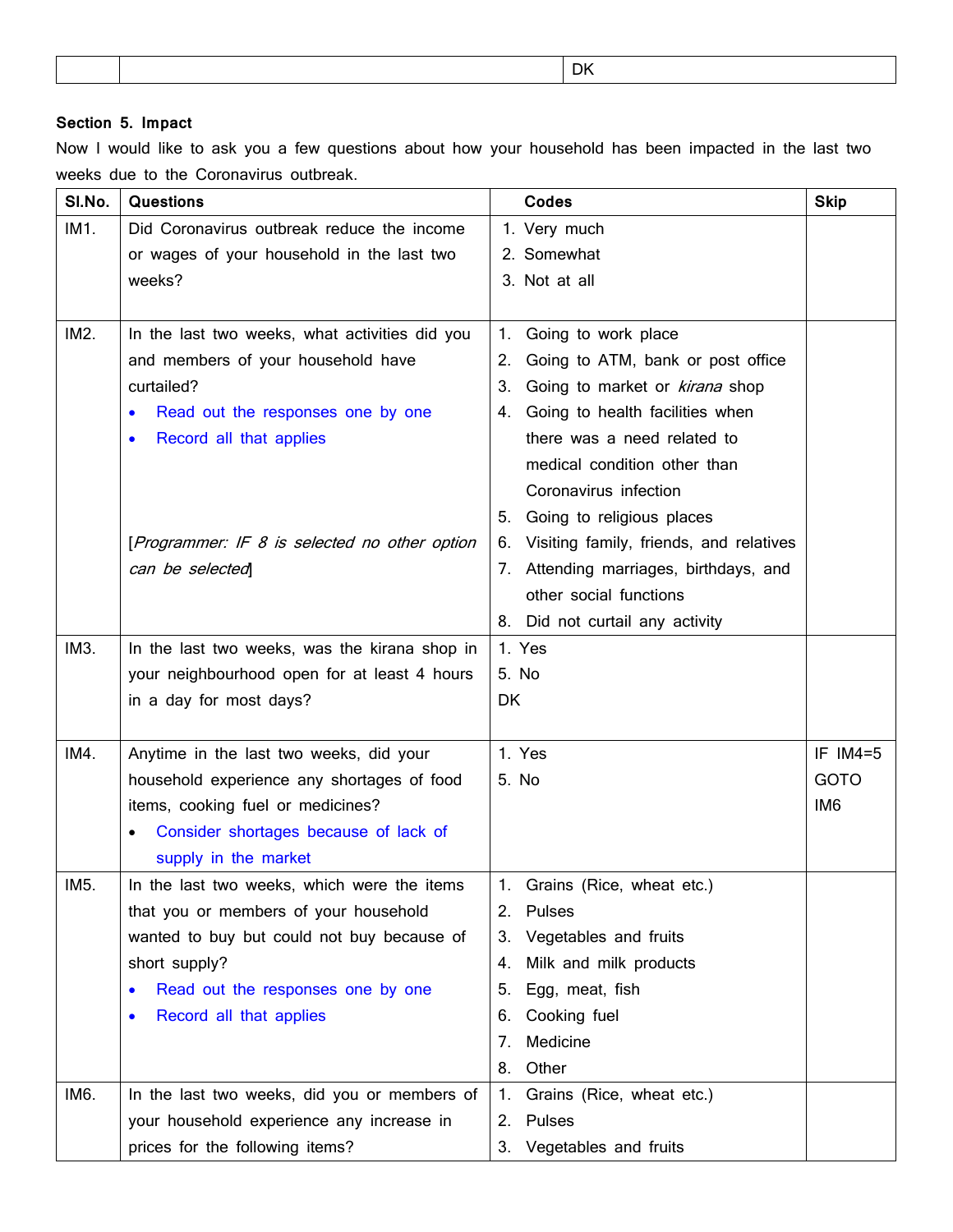| DК |
|----|
|----|

### **Section 5. Impact**

Now I would like to ask you a few questions about how your household has been impacted in the last two weeks due to the Coronavirus outbreak.

| SI.No. | <b>Questions</b>                               | Codes                                         | <b>Skip</b>     |
|--------|------------------------------------------------|-----------------------------------------------|-----------------|
| IM1.   | Did Coronavirus outbreak reduce the income     | 1. Very much                                  |                 |
|        | or wages of your household in the last two     | 2. Somewhat                                   |                 |
|        | weeks?                                         | 3. Not at all                                 |                 |
|        |                                                |                                               |                 |
| IM2.   | In the last two weeks, what activities did you | Going to work place<br>1.                     |                 |
|        | and members of your household have             | Going to ATM, bank or post office<br>2.       |                 |
|        | curtailed?                                     | 3.<br>Going to market or kirana shop          |                 |
|        | Read out the responses one by one              | Going to health facilities when<br>4.         |                 |
|        | Record all that applies                        | there was a need related to                   |                 |
|        |                                                | medical condition other than                  |                 |
|        |                                                | Coronavirus infection                         |                 |
|        |                                                | Going to religious places<br>5.               |                 |
|        | [Programmer: IF 8 is selected no other option  | Visiting family, friends, and relatives<br>6. |                 |
|        | can be selected                                | Attending marriages, birthdays, and<br>7.     |                 |
|        |                                                | other social functions                        |                 |
|        |                                                | Did not curtail any activity<br>8.            |                 |
| IM3.   | In the last two weeks, was the kirana shop in  | 1. Yes                                        |                 |
|        | your neighbourhood open for at least 4 hours   | 5. No                                         |                 |
|        | in a day for most days?                        | DK                                            |                 |
|        |                                                |                                               |                 |
| IM4.   | Anytime in the last two weeks, did your        | 1. Yes                                        | IF IM4=5        |
|        | household experience any shortages of food     | 5. No                                         | <b>GOTO</b>     |
|        | items, cooking fuel or medicines?              |                                               | IM <sub>6</sub> |
|        | Consider shortages because of lack of          |                                               |                 |
|        | supply in the market                           |                                               |                 |
| IM5.   | In the last two weeks, which were the items    | Grains (Rice, wheat etc.)                     |                 |
|        | that you or members of your household          | Pulses<br>2.                                  |                 |
|        | wanted to buy but could not buy because of     | 3. Vegetables and fruits                      |                 |
|        | short supply?                                  | Milk and milk products<br>4.                  |                 |
|        | Read out the responses one by one              | Egg, meat, fish<br>5.                         |                 |
|        | Record all that applies                        | Cooking fuel<br>6.                            |                 |
|        |                                                | Medicine<br>7.                                |                 |
|        |                                                | Other<br>8.                                   |                 |
| IM6.   | In the last two weeks, did you or members of   | Grains (Rice, wheat etc.)<br>1.               |                 |
|        | your household experience any increase in      | 2. Pulses                                     |                 |
|        | prices for the following items?                | Vegetables and fruits<br>3.                   |                 |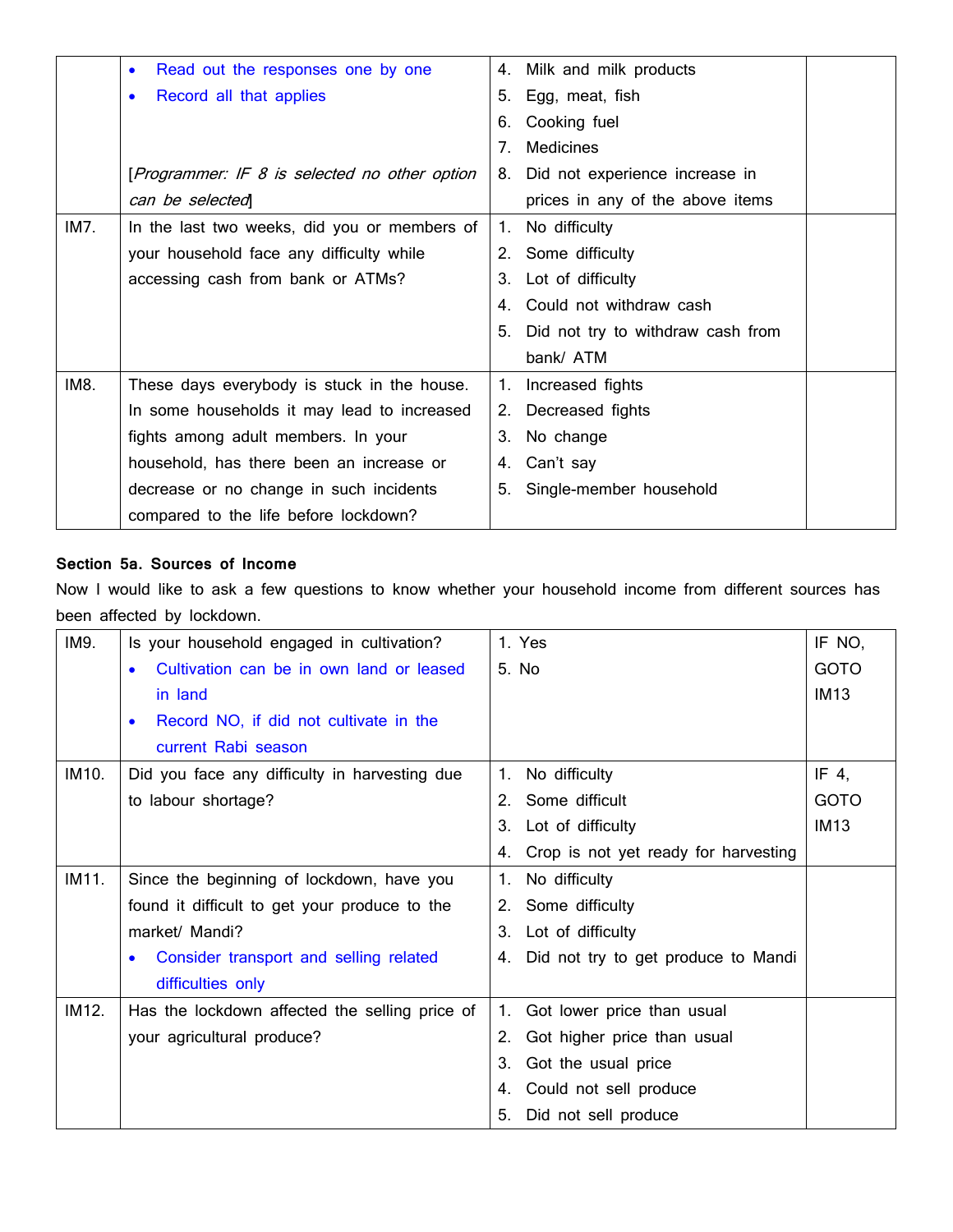|      | Read out the responses one by one<br>$\bullet$ | 4. Milk and milk products                   |
|------|------------------------------------------------|---------------------------------------------|
|      | Record all that applies<br>$\bullet$           | Egg, meat, fish<br>5.                       |
|      |                                                | Cooking fuel<br>6.                          |
|      |                                                | $7_{\scriptscriptstyle{\sim}}$<br>Medicines |
|      | [Programmer: IF 8 is selected no other option  | Did not experience increase in<br>8.        |
|      | can be selected                                | prices in any of the above items            |
| IM7. | In the last two weeks, did you or members of   | No difficulty<br>1.                         |
|      | your household face any difficulty while       | 2. Some difficulty                          |
|      | accessing cash from bank or ATMs?              | Lot of difficulty<br>З.                     |
|      |                                                | 4. Could not withdraw cash                  |
|      |                                                | Did not try to withdraw cash from<br>5.     |
|      |                                                | bank/ ATM                                   |
| IM8. | These days everybody is stuck in the house.    | Increased fights<br>1.                      |
|      | In some households it may lead to increased    | Decreased fights<br>2.                      |
|      | fights among adult members. In your            | No change<br>3.                             |
|      | household, has there been an increase or       | Can't say<br>4.                             |
|      | decrease or no change in such incidents        | 5. Single-member household                  |
|      | compared to the life before lockdown?          |                                             |

#### **Section 5a. Sources of Income**

Now I would like to ask a few questions to know whether your household income from different sources has been affected by lockdown.

| IM9.  | Is your household engaged in cultivation?      | 1. Yes                                     | IF NO,      |
|-------|------------------------------------------------|--------------------------------------------|-------------|
|       | Cultivation can be in own land or leased       | 5. No.                                     | <b>GOTO</b> |
|       | in land                                        |                                            | <b>IM13</b> |
|       | Record NO, if did not cultivate in the         |                                            |             |
|       | current Rabi season                            |                                            |             |
| IM10. | Did you face any difficulty in harvesting due  | No difficulty<br>1.                        | IF 4,       |
|       | to labour shortage?                            | Some difficult<br>2 <sub>1</sub>           | <b>GOTO</b> |
|       |                                                | Lot of difficulty<br>3.                    | <b>IM13</b> |
|       |                                                | Crop is not yet ready for harvesting<br>4. |             |
| IM11. | Since the beginning of lockdown, have you      | No difficulty<br>$\mathbf{1}$ .            |             |
|       | found it difficult to get your produce to the  | Some difficulty<br>2.                      |             |
|       | market/ Mandi?                                 | Lot of difficulty<br>3.                    |             |
|       | Consider transport and selling related         | Did not try to get produce to Mandi<br>4.  |             |
|       | difficulties only                              |                                            |             |
| IM12. | Has the lockdown affected the selling price of | Got lower price than usual<br>1.           |             |
|       | your agricultural produce?                     | Got higher price than usual<br>2.          |             |
|       |                                                | Got the usual price<br>3.                  |             |
|       |                                                | Could not sell produce<br>4.               |             |
|       |                                                | Did not sell produce<br>5.                 |             |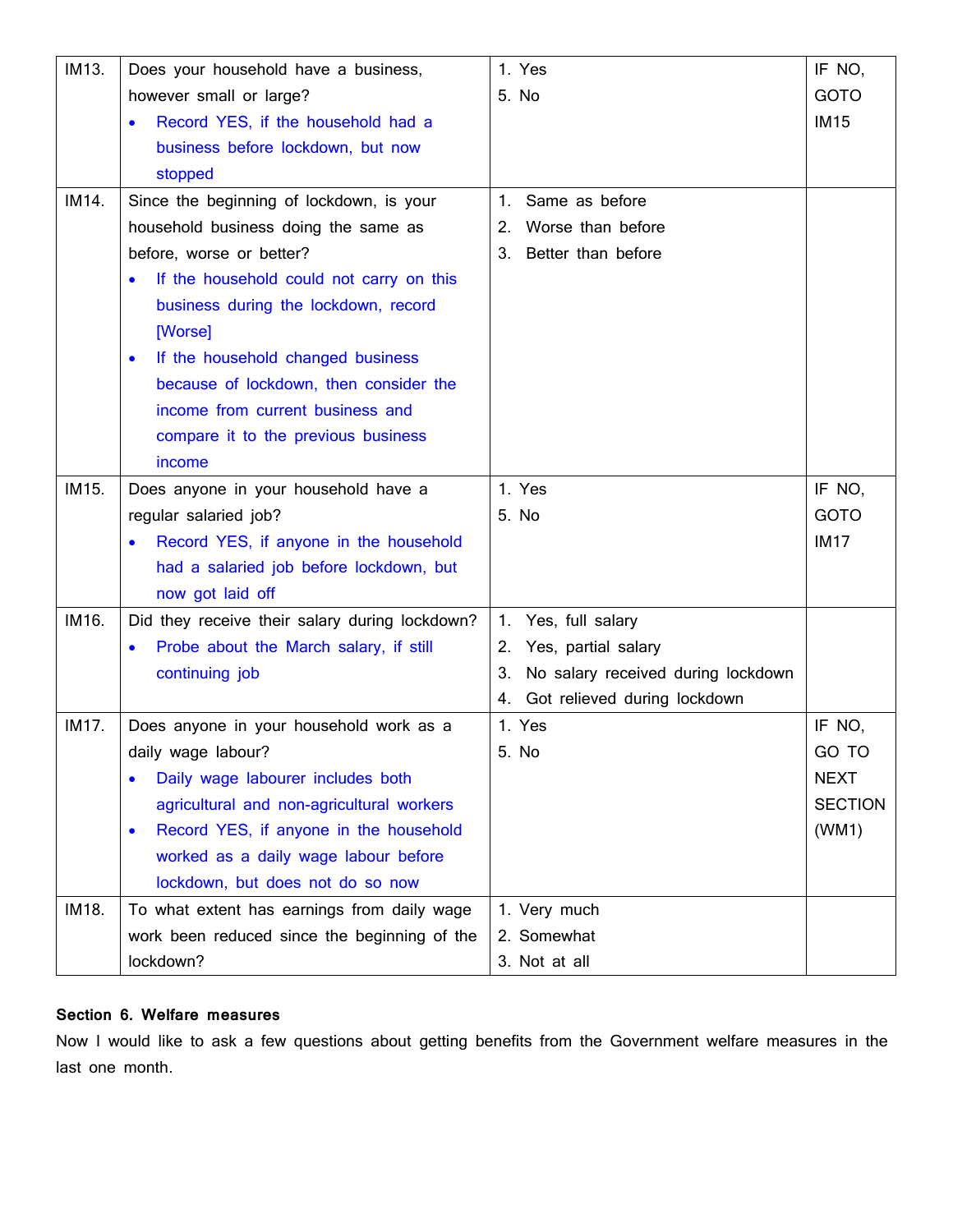| IM13. | Does your household have a business,                | 1. Yes                                   | IF NO,         |
|-------|-----------------------------------------------------|------------------------------------------|----------------|
|       | however small or large?                             | 5. No                                    | <b>GOTO</b>    |
|       | Record YES, if the household had a                  |                                          | <b>IM15</b>    |
|       | business before lockdown, but now                   |                                          |                |
|       | stopped                                             |                                          |                |
| IM14. | Since the beginning of lockdown, is your            | 1. Same as before                        |                |
|       | household business doing the same as                | Worse than before<br>2.                  |                |
|       | before, worse or better?                            | Better than before<br>3.                 |                |
|       | If the household could not carry on this            |                                          |                |
|       | business during the lockdown, record                |                                          |                |
|       | [Worse]                                             |                                          |                |
|       | If the household changed business<br>$\bullet$      |                                          |                |
|       | because of lockdown, then consider the              |                                          |                |
|       | income from current business and                    |                                          |                |
|       | compare it to the previous business                 |                                          |                |
|       | income                                              |                                          |                |
| IM15. | Does anyone in your household have a                | 1. Yes                                   | IF NO,         |
|       | regular salaried job?                               | 5. No                                    | <b>GOTO</b>    |
|       | Record YES, if anyone in the household              |                                          | <b>IM17</b>    |
|       | had a salaried job before lockdown, but             |                                          |                |
|       | now got laid off                                    |                                          |                |
| IM16. | Did they receive their salary during lockdown?      | 1. Yes, full salary                      |                |
|       | Probe about the March salary, if still              | 2. Yes, partial salary                   |                |
|       | continuing job                                      | No salary received during lockdown<br>З. |                |
|       |                                                     | 4. Got relieved during lockdown          |                |
| IM17. | Does anyone in your household work as a             | 1. Yes                                   | IF NO,         |
|       | daily wage labour?                                  | 5. No                                    | GO TO          |
|       | Daily wage labourer includes both                   |                                          | <b>NEXT</b>    |
|       | agricultural and non-agricultural workers           |                                          | <b>SECTION</b> |
|       | Record YES, if anyone in the household<br>$\bullet$ |                                          | (WM1)          |
|       | worked as a daily wage labour before                |                                          |                |
|       | lockdown, but does not do so now                    |                                          |                |
| IM18. | To what extent has earnings from daily wage         | 1. Very much                             |                |
|       | work been reduced since the beginning of the        | 2. Somewhat                              |                |
|       | lockdown?                                           | 3. Not at all                            |                |

#### **Section 6. Welfare measures**

Now I would like to ask a few questions about getting benefits from the Government welfare measures in the last one month.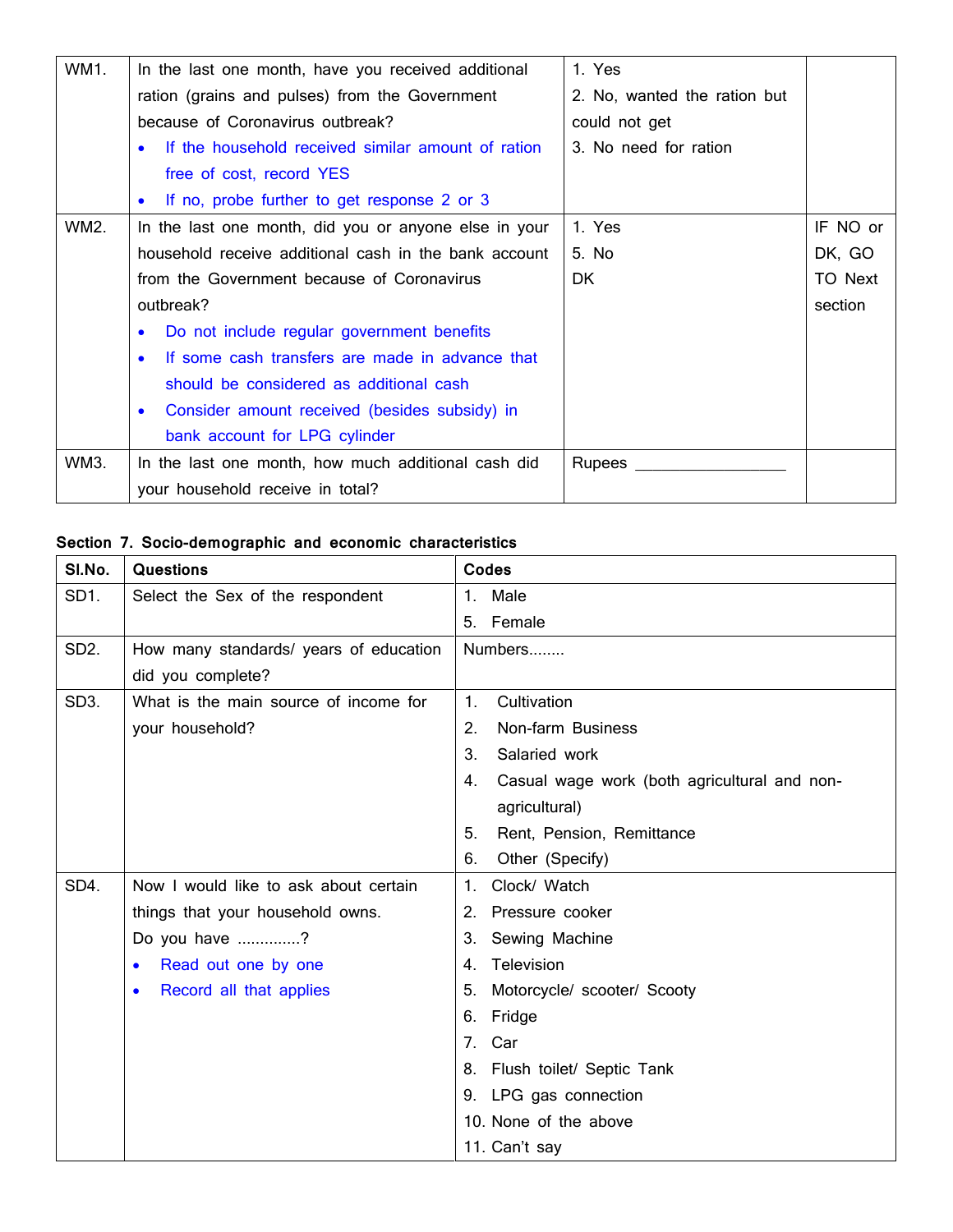| WM1. | In the last one month, have you received additional             | 1. Yes                       |          |
|------|-----------------------------------------------------------------|------------------------------|----------|
|      | ration (grains and pulses) from the Government                  | 2. No, wanted the ration but |          |
|      | because of Coronavirus outbreak?                                | could not get                |          |
|      | If the household received similar amount of ration<br>$\bullet$ | 3. No need for ration        |          |
|      | free of cost, record YES                                        |                              |          |
|      | • If no, probe further to get response 2 or 3                   |                              |          |
| WM2. | In the last one month, did you or anyone else in your           | 1. Yes                       | IF NO or |
|      | household receive additional cash in the bank account           | 5. No                        | DK, GO   |
|      | from the Government because of Coronavirus                      | DK.                          | TO Next  |
|      | outbreak?                                                       |                              | section  |
|      | Do not include regular government benefits<br>$\bullet$         |                              |          |
|      | If some cash transfers are made in advance that<br>$\bullet$    |                              |          |
|      | should be considered as additional cash                         |                              |          |
|      | Consider amount received (besides subsidy) in<br>$\bullet$      |                              |          |
|      | bank account for LPG cylinder                                   |                              |          |
| WM3. | In the last one month, how much additional cash did             | Rupees                       |          |
|      | your household receive in total?                                |                              |          |

# **Section 7. Socio-demographic and economic characteristics**

| SI.No.            | <b>Questions</b>                       | <b>Codes</b>                                       |
|-------------------|----------------------------------------|----------------------------------------------------|
| SD1.              | Select the Sex of the respondent       | Male<br>1.                                         |
|                   |                                        | Female<br>5.                                       |
| SD <sub>2</sub> . | How many standards/ years of education | Numbers                                            |
|                   | did you complete?                      |                                                    |
| SD <sub>3</sub> . | What is the main source of income for  | Cultivation<br>$\mathbf{1}$ .                      |
|                   | your household?                        | 2.<br>Non-farm Business                            |
|                   |                                        | 3.<br>Salaried work                                |
|                   |                                        | Casual wage work (both agricultural and non-<br>4. |
|                   |                                        | agricultural)                                      |
|                   |                                        | Rent, Pension, Remittance<br>5.                    |
|                   |                                        | Other (Specify)<br>6.                              |
| SD4.              | Now I would like to ask about certain  | Clock/ Watch<br>1.                                 |
|                   | things that your household owns.       | Pressure cooker<br>2.                              |
|                   | Do you have ?                          | Sewing Machine<br>3.                               |
|                   | Read out one by one<br>$\bullet$       | Television<br>4.                                   |
|                   | Record all that applies<br>$\bullet$   | Motorcycle/ scooter/ Scooty<br>5.                  |
|                   |                                        | Fridge<br>6.                                       |
|                   |                                        | 7.<br>Car                                          |
|                   |                                        | Flush toilet/ Septic Tank<br>8.                    |
|                   |                                        | LPG gas connection<br>9.                           |
|                   |                                        | 10. None of the above                              |
|                   |                                        | 11. Can't say                                      |